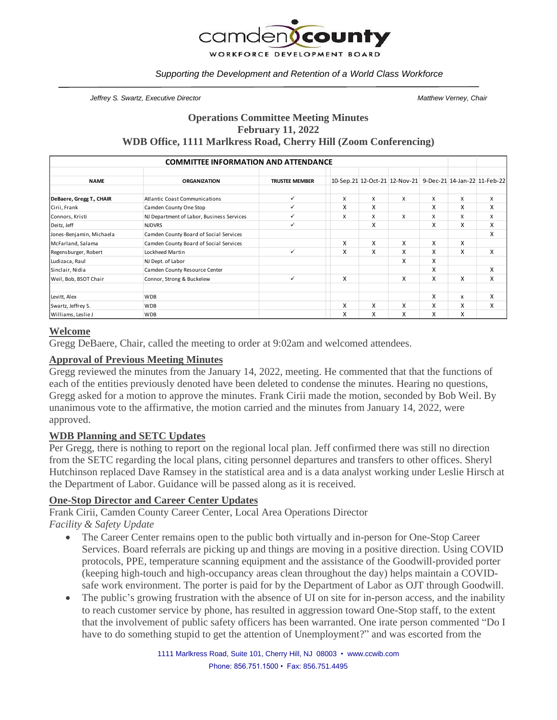

#### *Supporting the Development and Retention of a World Class Workforce*

*Jeffrey S. Swartz, Executive Director Matthew Verney, Chair*

## **Operations Committee Meeting Minutes February 11, 2022 WDB Office, 1111 Marlkress Road, Cherry Hill (Zoom Conferencing)**

| <b>COMMITTEE INFORMATION AND ATTENDANCE</b> |                                           |                       |   |   |                                                            |   |   |   |
|---------------------------------------------|-------------------------------------------|-----------------------|---|---|------------------------------------------------------------|---|---|---|
| <b>NAME</b>                                 | <b>ORGANIZATION</b>                       | <b>TRUSTEE MEMBER</b> |   |   | 10-Sep.21 12-Oct-21 12-Nov-21 9-Dec-21 14-Jan-22 11-Feb-22 |   |   |   |
| DeBaere, Gregg T., CHAIR                    | <b>Atlantic Coast Communications</b>      | ✓                     | X | X | X                                                          | X | X | X |
| Cirii, Frank                                | Camden County One Stop                    | ✓                     | X | X |                                                            | X | X | X |
| Connors, Kristi                             | NJ Department of Labor, Business Services | ✓                     | X | X | X                                                          | X | X | X |
| Deitz, Jeff                                 | <b>NJDVRS</b>                             | $\checkmark$          |   | x |                                                            | X | X | X |
| Jones-Benjamin, Michaela                    | Camden County Board of Social Services    |                       |   |   |                                                            |   |   | X |
| McFarland, Salama                           | Camden County Board of Social Services    |                       | X | X | X                                                          | X | X |   |
| Regensburger, Robert                        | Lockheed Martin                           | $\checkmark$          | X | X | X                                                          | X | X | X |
| Ludizaca, Raul                              | NJ Dept. of Labor                         |                       |   |   | x                                                          | X |   |   |
| Sinclair, Nidia                             | Camden County Resource Center             |                       |   |   |                                                            | X |   | X |
| Weil, Bob, BSOT Chair                       | Connor, Strong & Buckelew                 | $\checkmark$          | X |   | x                                                          | X | X | X |
| Levitt, Alex                                | <b>WDB</b>                                |                       |   |   |                                                            | x | x | X |
| Swartz, Jeffrey S.                          | <b>WDB</b>                                |                       | X | X | X                                                          | X | X | X |
| Williams, Leslie J                          | <b>WDB</b>                                |                       | X | X | x                                                          | x | X |   |

#### **Welcome**

Gregg DeBaere, Chair, called the meeting to order at 9:02am and welcomed attendees.

#### **Approval of Previous Meeting Minutes**

Gregg reviewed the minutes from the January 14, 2022, meeting. He commented that that the functions of each of the entities previously denoted have been deleted to condense the minutes. Hearing no questions, Gregg asked for a motion to approve the minutes. Frank Cirii made the motion, seconded by Bob Weil. By unanimous vote to the affirmative, the motion carried and the minutes from January 14, 2022, were approved.

#### **WDB Planning and SETC Updates**

Per Gregg, there is nothing to report on the regional local plan. Jeff confirmed there was still no direction from the SETC regarding the local plans, citing personnel departures and transfers to other offices. Sheryl Hutchinson replaced Dave Ramsey in the statistical area and is a data analyst working under Leslie Hirsch at the Department of Labor. Guidance will be passed along as it is received.

#### **One-Stop Director and Career Center Updates**

Frank Cirii, Camden County Career Center, Local Area Operations Director *Facility & Safety Update*

- The Career Center remains open to the public both virtually and in-person for One-Stop Career Services. Board referrals are picking up and things are moving in a positive direction. Using COVID protocols, PPE, temperature scanning equipment and the assistance of the Goodwill-provided porter (keeping high-touch and high-occupancy areas clean throughout the day) helps maintain a COVIDsafe work environment. The porter is paid for by the Department of Labor as OJT through Goodwill.
- The public's growing frustration with the absence of UI on site for in-person access, and the inability to reach customer service by phone, has resulted in aggression toward One-Stop staff, to the extent that the involvement of public safety officers has been warranted. One irate person commented "Do I have to do something stupid to get the attention of Unemployment?" and was escorted from the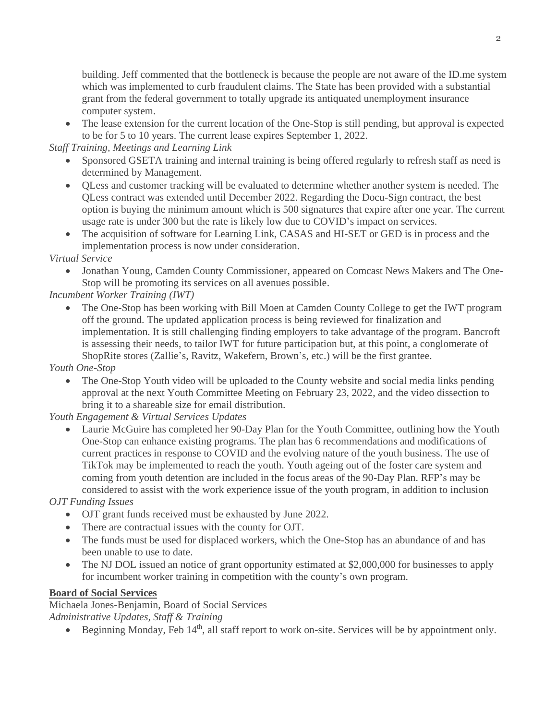building. Jeff commented that the bottleneck is because the people are not aware of the ID.me system which was implemented to curb fraudulent claims. The State has been provided with a substantial grant from the federal government to totally upgrade its antiquated unemployment insurance computer system.

• The lease extension for the current location of the One-Stop is still pending, but approval is expected to be for 5 to 10 years. The current lease expires September 1, 2022.

*Staff Training, Meetings and Learning Link*

- Sponsored GSETA training and internal training is being offered regularly to refresh staff as need is determined by Management.
- QLess and customer tracking will be evaluated to determine whether another system is needed. The QLess contract was extended until December 2022. Regarding the Docu-Sign contract, the best option is buying the minimum amount which is 500 signatures that expire after one year. The current usage rate is under 300 but the rate is likely low due to COVID's impact on services.
- The acquisition of software for Learning Link, CASAS and HI-SET or GED is in process and the implementation process is now under consideration.

*Virtual Service*

• Jonathan Young, Camden County Commissioner, appeared on Comcast News Makers and The One-Stop will be promoting its services on all avenues possible.

*Incumbent Worker Training (IWT)*

• The One-Stop has been working with Bill Moen at Camden County College to get the IWT program off the ground. The updated application process is being reviewed for finalization and implementation. It is still challenging finding employers to take advantage of the program. Bancroft is assessing their needs, to tailor IWT for future participation but, at this point, a conglomerate of ShopRite stores (Zallie's, Ravitz, Wakefern, Brown's, etc.) will be the first grantee.

*Youth One-Stop*

• The One-Stop Youth video will be uploaded to the County website and social media links pending approval at the next Youth Committee Meeting on February 23, 2022, and the video dissection to bring it to a shareable size for email distribution.

*Youth Engagement & Virtual Services Updates*

• Laurie McGuire has completed her 90-Day Plan for the Youth Committee, outlining how the Youth One-Stop can enhance existing programs. The plan has 6 recommendations and modifications of current practices in response to COVID and the evolving nature of the youth business. The use of TikTok may be implemented to reach the youth. Youth ageing out of the foster care system and coming from youth detention are included in the focus areas of the 90-Day Plan. RFP's may be considered to assist with the work experience issue of the youth program, in addition to inclusion

*OJT Funding Issues*

- OJT grant funds received must be exhausted by June 2022.
- There are contractual issues with the county for OJT.
- The funds must be used for displaced workers, which the One-Stop has an abundance of and has been unable to use to date.
- The NJ DOL issued an notice of grant opportunity estimated at \$2,000,000 for businesses to apply for incumbent worker training in competition with the county's own program.

### **Board of Social Services**

Michaela Jones-Benjamin, Board of Social Services *Administrative Updates, Staff & Training*

• Beginning Monday, Feb  $14<sup>th</sup>$ , all staff report to work on-site. Services will be by appointment only.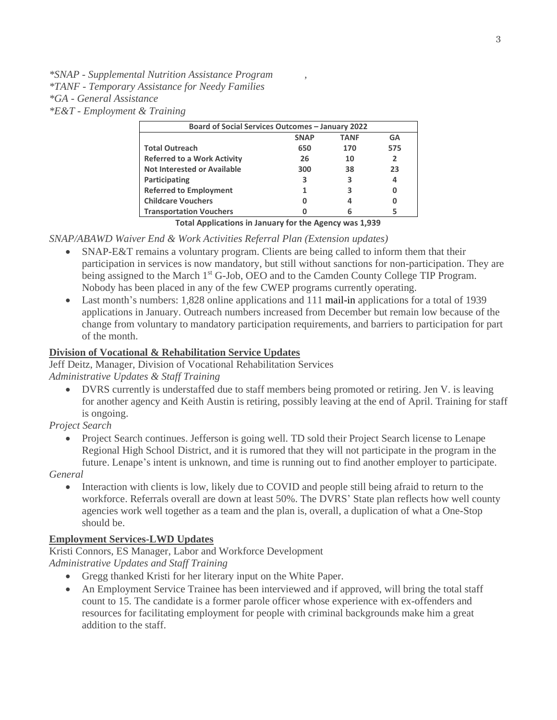*\*SNAP - Supplemental Nutrition Assistance Program , \*TANF - Temporary Assistance for Needy Families \*GA - General Assistance \*E&T - Employment & Training*

| <b>Board of Social Services Outcomes - January 2022</b> |             |             |     |  |  |  |  |
|---------------------------------------------------------|-------------|-------------|-----|--|--|--|--|
|                                                         | <b>SNAP</b> | <b>TANF</b> | GA  |  |  |  |  |
| <b>Total Outreach</b>                                   | 650         | 170         | 575 |  |  |  |  |
| <b>Referred to a Work Activity</b>                      | 26          | 10          | 2   |  |  |  |  |
| Not Interested or Available                             | 300         | 38          | 23  |  |  |  |  |
| Participating                                           | 3           | 3           | 4   |  |  |  |  |
| <b>Referred to Employment</b>                           |             |             |     |  |  |  |  |
| <b>Childcare Vouchers</b>                               |             |             |     |  |  |  |  |
| <b>Transportation Vouchers</b>                          |             |             |     |  |  |  |  |

**Total Applications in January for the Agency was 1,939**

*SNAP/ABAWD Waiver End & Work Activities Referral Plan (Extension updates)*

- SNAP-E&T remains a voluntary program. Clients are being called to inform them that their participation in services is now mandatory, but still without sanctions for non-participation. They are being assigned to the March 1<sup>st</sup> G-Job, OEO and to the Camden County College TIP Program. Nobody has been placed in any of the few CWEP programs currently operating.
- Last month's numbers: 1,828 online applications and 111 mail-in applications for a total of 1939 applications in January. Outreach numbers increased from December but remain low because of the change from voluntary to mandatory participation requirements, and barriers to participation for part of the month.

## **Division of Vocational & Rehabilitation Service Updates**

Jeff Deitz, Manager, Division of Vocational Rehabilitation Services

*Administrative Updates & Staff Training* 

• DVRS currently is understaffed due to staff members being promoted or retiring. Jen V. is leaving for another agency and Keith Austin is retiring, possibly leaving at the end of April. Training for staff is ongoing.

*Project Search* 

• Project Search continues. Jefferson is going well. TD sold their Project Search license to Lenape Regional High School District, and it is rumored that they will not participate in the program in the future. Lenape's intent is unknown, and time is running out to find another employer to participate.

*General*

• Interaction with clients is low, likely due to COVID and people still being afraid to return to the workforce. Referrals overall are down at least 50%. The DVRS' State plan reflects how well county agencies work well together as a team and the plan is, overall, a duplication of what a One-Stop should be.

### **Employment Services-LWD Updates**

Kristi Connors, ES Manager, Labor and Workforce Development

*Administrative Updates and Staff Training*

- Gregg thanked Kristi for her literary input on the White Paper.
- An Employment Service Trainee has been interviewed and if approved, will bring the total staff count to 15. The candidate is a former parole officer whose experience with ex-offenders and resources for facilitating employment for people with criminal backgrounds make him a great addition to the staff.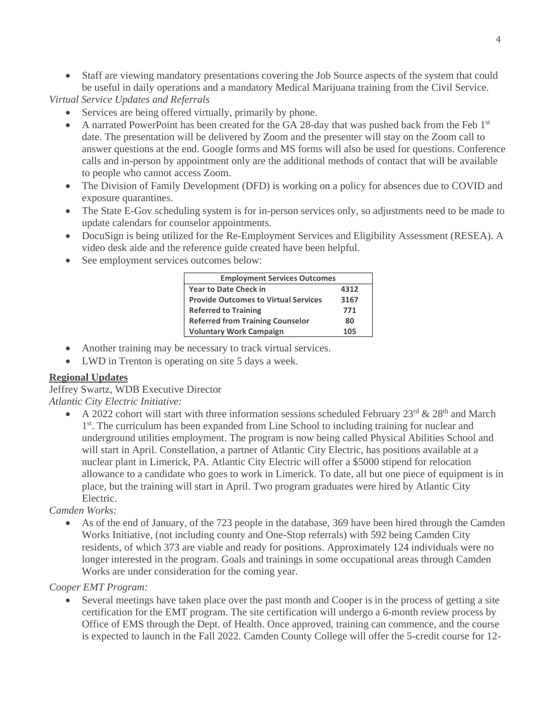• Staff are viewing mandatory presentations covering the Job Source aspects of the system that could be useful in daily operations and a mandatory Medical Marijuana training from the Civil Service.

*Virtual Service Updates and Referrals* 

- Services are being offered virtually, primarily by phone.
- A narrated PowerPoint has been created for the GA 28-day that was pushed back from the Feb 1st date. The presentation will be delivered by Zoom and the presenter will stay on the Zoom call to answer questions at the end. Google forms and MS forms will also be used for questions. Conference calls and in-person by appointment only are the additional methods of contact that will be available to people who cannot access Zoom.
- The Division of Family Development (DFD) is working on a policy for absences due to COVID and exposure quarantines.
- The State E-Gov scheduling system is for in-person services only, so adjustments need to be made to update calendars for counselor appointments.
- DocuSign is being utilized for the Re-Employment Services and Eligibility Assessment (RESEA). A video desk aide and the reference guide created have been helpful.
- See employment services outcomes below:

| <b>Employment Services Outcomes</b>         |      |  |  |  |  |
|---------------------------------------------|------|--|--|--|--|
| <b>Year to Date Check in</b>                | 4312 |  |  |  |  |
| <b>Provide Outcomes to Virtual Services</b> | 3167 |  |  |  |  |
| <b>Referred to Training</b>                 | 771  |  |  |  |  |
| <b>Referred from Training Counselor</b>     | 80   |  |  |  |  |
| <b>Voluntary Work Campaign</b>              | 105  |  |  |  |  |

- Another training may be necessary to track virtual services.
- LWD in Trenton is operating on site 5 days a week.

### **Regional Updates**

Jeffrey Swartz, WDB Executive Director

*Atlantic City Electric Initiative:* 

• A 2022 cohort will start with three information sessions scheduled February  $23<sup>rd</sup>$  &  $28<sup>th</sup>$  and March 1<sup>st</sup>. The curriculum has been expanded from Line School to including training for nuclear and underground utilities employment. The program is now being called Physical Abilities School and will start in April. Constellation, a partner of Atlantic City Electric, has positions available at a nuclear plant in Limerick, PA. Atlantic City Electric will offer a \$5000 stipend for relocation allowance to a candidate who goes to work in Limerick. To date, all but one piece of equipment is in place, but the training will start in April. Two program graduates were hired by Atlantic City Electric.

### *Camden Works:*

• As of the end of January, of the 723 people in the database, 369 have been hired through the Camden Works Initiative, (not including county and One-Stop referrals) with 592 being Camden City residents, of which 373 are viable and ready for positions. Approximately 124 individuals were no longer interested in the program. Goals and trainings in some occupational areas through Camden Works are under consideration for the coming year.

# *Cooper EMT Program:*

• Several meetings have taken place over the past month and Cooper is in the process of getting a site certification for the EMT program. The site certification will undergo a 6-month review process by Office of EMS through the Dept. of Health. Once approved, training can commence, and the course is expected to launch in the Fall 2022. Camden County College will offer the 5-credit course for 12